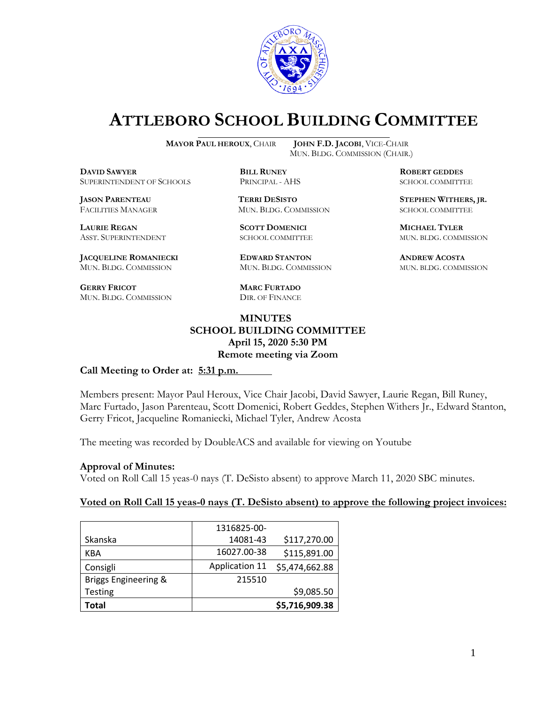

# **ATTLEBORO SCHOOL BUILDING COMMITTEE**

**MAYOR PAUL HEROUX**, CHAIR **JOHN F.D. JACOBI**, VICE-CHAIR

**DDEXIVER**<br> **BILL RUNEY ROBERT GEDDES**<br> **BILL RUNEY RINGPAL - AHS BOBERT GEDDES** SUPERINTENDENT OF SCHOOLS PRINCIPAL - AHS SCHOOL COMMITTEE

**LAURIE REGAN SCOTT DOMENICI MICHAEL TYLER**

**JACQUELINE ROMANIECKI EDWARD STANTON ANDREW ACOSTA** MUN. BLDG. COMMISSION MUN. BLDG. COMMISSION MUN. BLDG. COMMISSION

**GERRY FRICOT MARC FURTADO** MUN. BLDG. COMMISSION DIR. OF FINANCE

MUN. BLDG. COMMISSION (CHAIR.)

**JASON PARENTEAU TERRI DESISTO STEPHEN WITHERS, JR.** FACILITIES MANAGER MUN. BLDG. COMMISSION SCHOOL COMMITTEE

#### **MINUTES SCHOOL BUILDING COMMITTEE April 15, 2020 5:30 PM Remote meeting via Zoom**

#### **Call Meeting to Order at: 5:31 p.m.**

Members present: Mayor Paul Heroux, Vice Chair Jacobi, David Sawyer, Laurie Regan, Bill Runey, Marc Furtado, Jason Parenteau, Scott Domenici, Robert Geddes, Stephen Withers Jr., Edward Stanton, Gerry Fricot, Jacqueline Romaniecki, Michael Tyler, Andrew Acosta

The meeting was recorded by DoubleACS and available for viewing on Youtube

#### **Approval of Minutes:**

Voted on Roll Call 15 yeas-0 nays (T. DeSisto absent) to approve March 11, 2020 SBC minutes.

#### **Voted on Roll Call 15 yeas-0 nays (T. DeSisto absent) to approve the following project invoices:**

|                      | 1316825-00-           |                |
|----------------------|-----------------------|----------------|
|                      |                       |                |
| Skanska              | 14081-43              | \$117,270.00   |
| KBA                  | 16027.00-38           | \$115,891.00   |
| Consigli             | <b>Application 11</b> | \$5,474,662.88 |
| Briggs Engineering & | 215510                |                |
| <b>Testing</b>       |                       | \$9,085.50     |
| Total                |                       | \$5,716,909.38 |

ASST. SUPERINTENDENT SCHOOL COMMITTEE MUN. BLDG. COMMISSION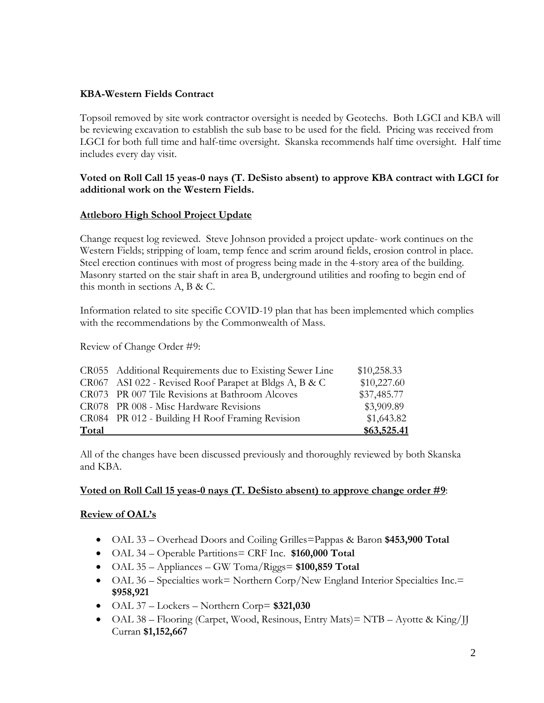#### **KBA-Western Fields Contract**

Topsoil removed by site work contractor oversight is needed by Geotechs. Both LGCI and KBA will be reviewing excavation to establish the sub base to be used for the field.Pricing was received from LGCI for both full time and half-time oversight. Skanska recommends half time oversight. Half time includes every day visit.

#### **Voted on Roll Call 15 yeas-0 nays (T. DeSisto absent) to approve KBA contract with LGCI for additional work on the Western Fields.**

#### **Attleboro High School Project Update**

Change request log reviewed. Steve Johnson provided a project update- work continues on the Western Fields; stripping of loam, temp fence and scrim around fields, erosion control in place. Steel erection continues with most of progress being made in the 4-story area of the building. Masonry started on the stair shaft in area B, underground utilities and roofing to begin end of this month in sections A, B & C.

Information related to site specific COVID-19 plan that has been implemented which complies with the recommendations by the Commonwealth of Mass.

Review of Change Order #9:

|       | CR055 Additional Requirements due to Existing Sewer Line | \$10,258.33 |
|-------|----------------------------------------------------------|-------------|
|       | CR067 ASI 022 - Revised Roof Parapet at Bldgs A, B & C   | \$10,227.60 |
|       | CR073 PR 007 Tile Revisions at Bathroom Alcoves          | \$37,485.77 |
|       | CR078 PR 008 - Misc Hardware Revisions                   | \$3,909.89  |
|       | CR084 PR 012 - Building H Roof Framing Revision          | \$1,643.82  |
| Total |                                                          | \$63,525.41 |

All of the changes have been discussed previously and thoroughly reviewed by both Skanska and KBA.

#### **Voted on Roll Call 15 yeas-0 nays (T. DeSisto absent) to approve change order #9**:

#### **Review of OAL's**

- OAL 33 Overhead Doors and Coiling Grilles=Pappas & Baron **\$453,900 Total**
- OAL 34 Operable Partitions= CRF Inc. **\$160,000 Total**
- OAL 35 Appliances GW Toma/Riggs= **\$100,859 Total**
- OAL 36 Specialties work= Northern Corp/New England Interior Specialties Inc.= **\$958,921**
- OAL 37 Lockers Northern Corp= **\$321,030**
- OAL 38 Flooring (Carpet, Wood, Resinous, Entry Mats) = NTB Ayotte & King/JJ Curran **\$1,152,667**